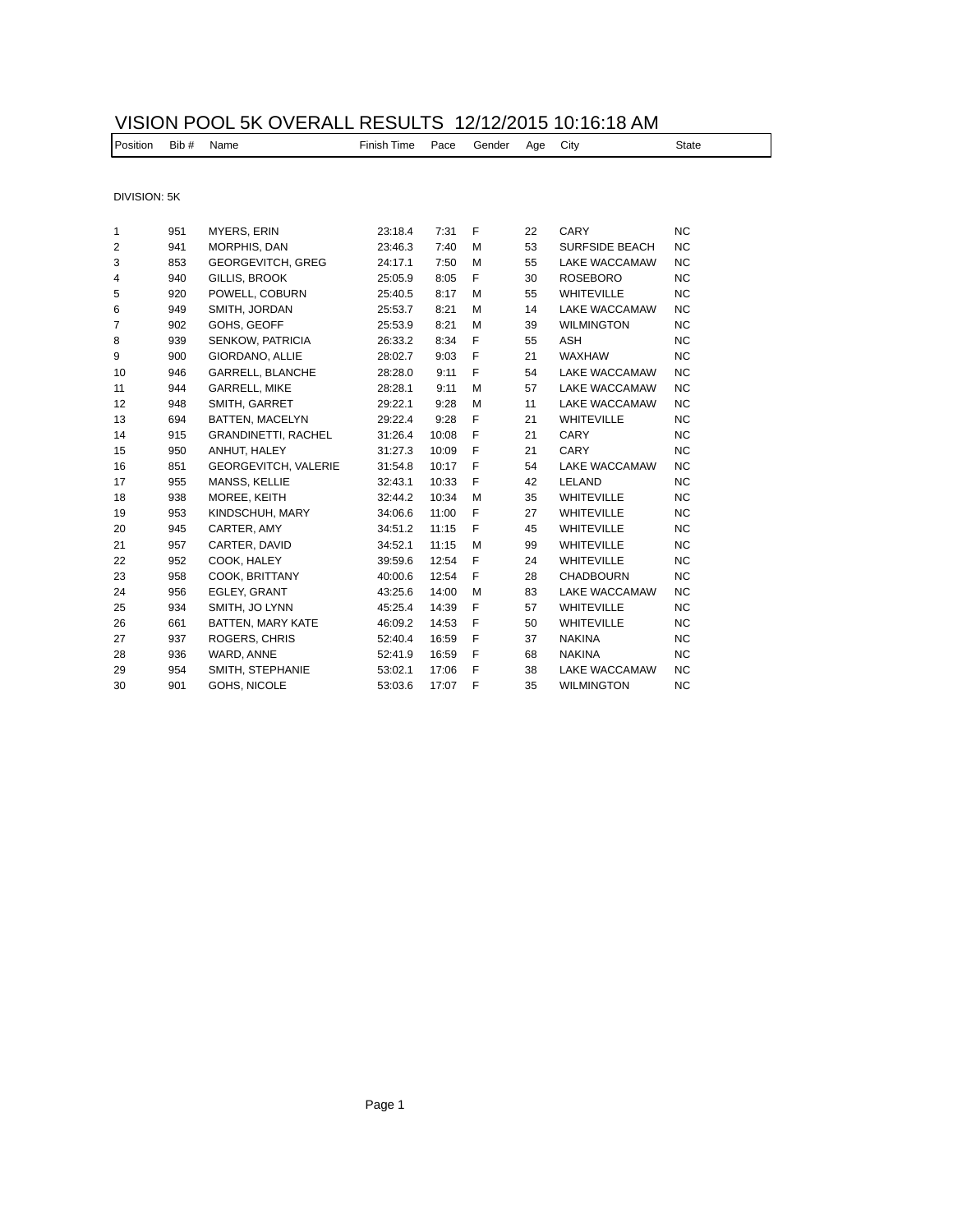## VISION POOL 5K OVERALL RESULTS 12/12/2015 10:16:18 AM

| Position | Bib #<br>ш. | Name | -inish<br>Time<br>. | ace?<br>. | $   -$<br>enaer | Аае<br>$\overline{\phantom{0}}$ | Citv | ∍tate |
|----------|-------------|------|---------------------|-----------|-----------------|---------------------------------|------|-------|
|          |             |      |                     |           |                 |                                 |      |       |

DIVISION: 5K

| 1  | 951 | <b>MYERS, ERIN</b>          | 23:18.4 | 7:31  | F | 22 | CARY                  | <b>NC</b> |
|----|-----|-----------------------------|---------|-------|---|----|-----------------------|-----------|
| 2  | 941 | MORPHIS, DAN                | 23:46.3 | 7:40  | M | 53 | <b>SURFSIDE BEACH</b> | NC.       |
| 3  | 853 | <b>GEORGEVITCH, GREG</b>    | 24:17.1 | 7:50  | M | 55 | <b>LAKE WACCAMAW</b>  | NC.       |
| 4  | 940 | GILLIS, BROOK               | 25:05.9 | 8:05  | F | 30 | <b>ROSEBORO</b>       | NC.       |
| 5  | 920 | POWELL, COBURN              | 25:40.5 | 8:17  | M | 55 | <b>WHITEVILLE</b>     | <b>NC</b> |
| 6  | 949 | SMITH, JORDAN               | 25:53.7 | 8:21  | M | 14 | <b>LAKE WACCAMAW</b>  | <b>NC</b> |
| 7  | 902 | GOHS, GEOFF                 | 25:53.9 | 8:21  | M | 39 | <b>WILMINGTON</b>     | <b>NC</b> |
| 8  | 939 | <b>SENKOW, PATRICIA</b>     | 26:33.2 | 8:34  | F | 55 | <b>ASH</b>            | <b>NC</b> |
| 9  | 900 | <b>GIORDANO, ALLIE</b>      | 28:02.7 | 9:03  | F | 21 | <b>WAXHAW</b>         | NC.       |
| 10 | 946 | GARRELL, BLANCHE            | 28:28.0 | 9:11  | F | 54 | <b>LAKE WACCAMAW</b>  | NC.       |
| 11 | 944 | <b>GARRELL, MIKE</b>        | 28:28.1 | 9:11  | M | 57 | <b>LAKE WACCAMAW</b>  | <b>NC</b> |
| 12 | 948 | SMITH, GARRET               | 29:22.1 | 9:28  | M | 11 | <b>LAKE WACCAMAW</b>  | <b>NC</b> |
| 13 | 694 | <b>BATTEN, MACELYN</b>      | 29:22.4 | 9:28  | F | 21 | <b>WHITEVILLE</b>     | NC.       |
| 14 | 915 | <b>GRANDINETTI, RACHEL</b>  | 31:26.4 | 10:08 | F | 21 | CARY                  | NC.       |
| 15 | 950 | ANHUT, HALEY                | 31:27.3 | 10:09 | F | 21 | CARY                  | <b>NC</b> |
| 16 | 851 | <b>GEORGEVITCH, VALERIE</b> | 31:54.8 | 10:17 | F | 54 | <b>LAKE WACCAMAW</b>  | <b>NC</b> |
| 17 | 955 | MANSS, KELLIE               | 32:43.1 | 10:33 | F | 42 | LELAND                | NC.       |
| 18 | 938 | MOREE, KEITH                | 32:44.2 | 10:34 | M | 35 | <b>WHITEVILLE</b>     | NC.       |
| 19 | 953 | KINDSCHUH, MARY             | 34:06.6 | 11:00 | F | 27 | WHITEVILLE            | NC.       |
| 20 | 945 | CARTER, AMY                 | 34:51.2 | 11:15 | F | 45 | <b>WHITEVILLE</b>     | NC.       |
| 21 | 957 | CARTER, DAVID               | 34:52.1 | 11:15 | M | 99 | <b>WHITEVILLE</b>     | NC.       |
| 22 | 952 | COOK, HALEY                 | 39:59.6 | 12:54 | F | 24 | <b>WHITEVILLE</b>     | NC.       |
| 23 | 958 | COOK, BRITTANY              | 40:00.6 | 12:54 | F | 28 | <b>CHADBOURN</b>      | <b>NC</b> |
| 24 | 956 | EGLEY, GRANT                | 43:25.6 | 14:00 | M | 83 | <b>LAKE WACCAMAW</b>  | <b>NC</b> |
| 25 | 934 | SMITH, JO LYNN              | 45:25.4 | 14:39 | F | 57 | <b>WHITEVILLE</b>     | NC.       |
| 26 | 661 | <b>BATTEN, MARY KATE</b>    | 46:09.2 | 14:53 | F | 50 | <b>WHITEVILLE</b>     | NC.       |
| 27 | 937 | ROGERS, CHRIS               | 52:40.4 | 16:59 | F | 37 | <b>NAKINA</b>         | NC.       |
| 28 | 936 | WARD, ANNE                  | 52:41.9 | 16:59 | F | 68 | <b>NAKINA</b>         | NC.       |
| 29 | 954 | SMITH, STEPHANIE            | 53:02.1 | 17:06 | F | 38 | LAKE WACCAMAW         | NC.       |
| 30 | 901 | GOHS, NICOLE                | 53:03.6 | 17:07 | F | 35 | <b>WILMINGTON</b>     | NC.       |